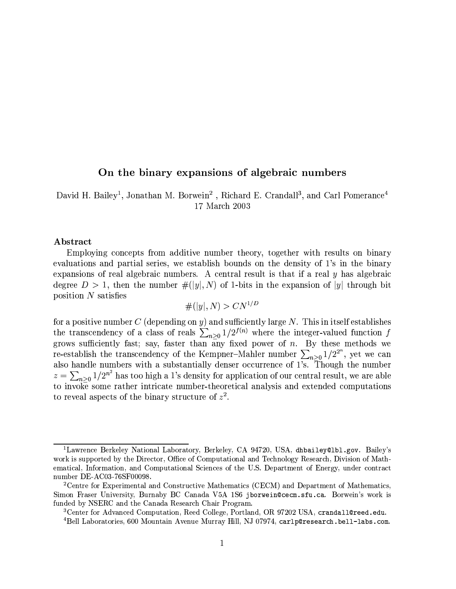# On the binary expansions of algebraic numbers

David H. Bailey<sup>1</sup>, Jonathan M. Borwein<sup>2</sup>, Richard E. Crandall<sup>3</sup>, and Carl Pomerance<sup>4</sup> 17 March 2003

#### Abstract

Employing concepts from additive number theory, together with results on binary evaluations and partial series, we establish bounds on the density of 1's in the binary expansions of real algebraic numbers. A central result is that if a real  $y$  has algebraic degree  $D > 1$ , then the number  $\#([y], N)$  of 1-bits in the expansion of |y| through bit position  $N$  satisfies

#(|y|, N) > 
$$
C N^{1/D}
$$

for a positive number  $C$  (depending on y) and sufficiently large N. This in itself establishes the transcendency of a class of reals  $\sum_{n\geq 0} 1/2^{f(n)}$  where the integer-valued function f grows sufficiently fast; say, faster than any fixed power of n. By these methods we re-establish the transcendency of the Kempner–Mahler number  $\sum_{n\geq 0} 1/2^{2^n}$ , yet we can<br>also handle numbers with a substantially denser occurrence of 1's. Though the number<br> $z = \sum_{n\geq 0} 1/2^{n^2}$  has too high a 1's to reveal aspects of the binary structure of  $z^2$ .

<sup>&</sup>lt;sup>1</sup>Lawrence Berkeley National Laboratory, Berkeley, CA 94720, USA, dhbailey@1b1.gov. Bailey's work is supported by the Director, Office of Computational and Technology Research, Division of Mathematical, Information, and Computational Sciences of the U.S. Department of Energy, under contract number DE-AC03-76SF00098.

<sup>&</sup>lt;sup>2</sup>Centre for Experimental and Constructive Mathematics (CECM) and Department of Mathematics, Simon Fraser University, Burnaby BC Canada V5A 1S6 jborwein@cecm.sfu.ca. Borwein's work is funded by NSERC and the Canada Research Chair Program.

<sup>&</sup>lt;sup>3</sup>Center for Advanced Computation, Reed College, Portland, OR 97202 USA, cranda11@reed.edu.

<sup>&</sup>lt;sup>4</sup>Bell Laboratories, 600 Mountain Avenue Murray Hill, NJ 07974, car1p@research.be11-1abs.com.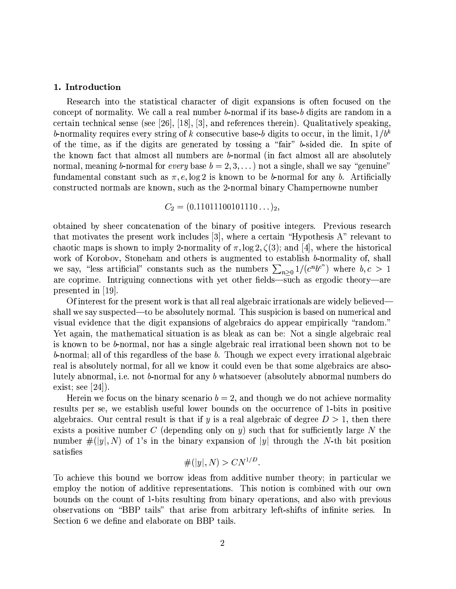#### 1. Introduction

Research into the statistical character of digit expansions is often focused on the concept of normality. We call a real number  $b$ -normal if its base- $b$  digits are random in a certain technical sense (see [26], [18], [3], and references therein). Qualitatively speaking, b-normality requires every string of k consecutive base-b digits to occur, in the limit,  $1/b^k$ of the time, as if the digits are generated by tossing a "fair" b-sided die. In spite of the known fact that almost all numbers are b-normal (in fact almost all are absolutely normal, meaning b-normal for *every* base  $b = 2, 3, ...$  not a single, shall we say "genuine" fundamental constant such as  $\pi$ , e,  $\log 2$  is known to be b-normal for any b. Artificially constructed normals are known, such as the 2-normal binary Champernowne number

## $C_2 = (0.11011100101110...)_2,$

obtained by sheer concatenation of the binary of positive integers. Previous research that motivates the present work includes [3], where a certain "Hypothesis A" relevant to chaotic maps is shown to imply 2-normality of  $\pi$ ,  $\log 2$ ,  $\zeta(3)$ ; and [4], where the historical work of Korobov, Stoneham and others is augmented to establish b-normality of, shall we say, "less artificial" constants such as the numbers  $\sum_{n\geq 0} 1/(c^n b^{c^n})$  where  $b, c > 1$  are coprime. Intriguing connections with yet other fields—such as ergodic theory—are presented in  $|19|$ .

Of interest for the present work is that all real algebraic irrationals are widely believed shall we say suspected—to be absolutely normal. This suspicion is based on numerical and visual evidence that the digit expansions of algebraics do appear empirically "random." Yet again, the mathematical situation is as bleak as can be: Not a single algebraic real is known to be b-normal, nor has a single algebraic real irrational been shown not to be b-normal; all of this regardless of the base b. Though we expect every irrational algebraic real is absolutely normal, for all we know it could even be that some algebraics are absolutely abnormal, i.e. not b-normal for any b whatsoever (absolutely abnormal numbers do exist; see  $[24]$ ).

Herein we focus on the binary scenario  $b=2$ , and though we do not achieve normality results per se, we establish useful lower bounds on the occurrence of 1-bits in positive algebraics. Our central result is that if y is a real algebraic of degree  $D > 1$ , then there exists a positive number C (depending only on y) such that for sufficiently large N the number  $\#([y], N)$  of 1's in the binary expansion of |y| through the N-th bit position satisfies

$$
\#(|y|,N) > CN^{1/D}.
$$

To achieve this bound we borrow ideas from additive number theory; in particular we employ the notion of additive representations. This notion is combined with our own bounds on the count of 1-bits resulting from binary operations, and also with previous observations on "BBP tails" that arise from arbitrary left-shifts of infinite series. In Section 6 we define and elaborate on BBP tails.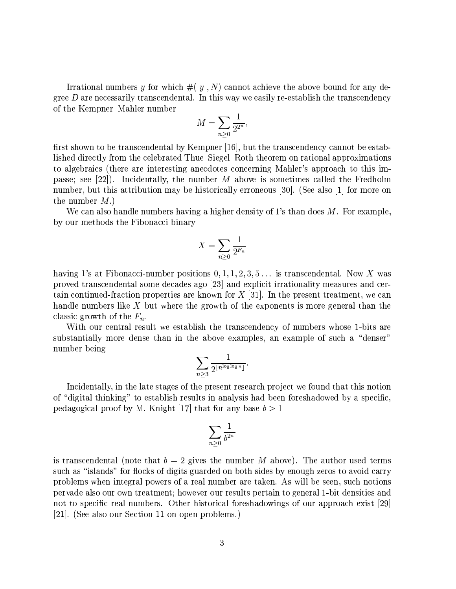Irrational numbers y for which  $\#([y], N)$  cannot achieve the above bound for any degree  $D$  are necessarily transcendental. In this way we easily re-establish the transcendency of the Kempner-Mahler number

$$
M = \sum_{n\geq 0} \frac{1}{2^{2^n}}
$$

first shown to be transcendental by Kempner [16], but the transcendency cannot be established directly from the celebrated Thue–Siegel–Roth theorem on rational approximations to algebraics (there are interesting anecdotes concerning Mahler's approach to this impasse; see [22]). Incidentally, the number  $M$  above is sometimes called the Fredholm number, but this attribution may be historically erroneous  $|30|$ . (See also |1| for more on the number  $M$ .)

We can also handle numbers having a higher density of 1's than does  $M$ . For example, by our methods the Fibonacci binary

$$
X = \sum_{n \ge 0} \frac{1}{2^{F_n}}
$$

having 1's at Fibonacci-number positions  $0, 1, 1, 2, 3, 5...$  is transcendental. Now X was proved transcendental some decades ago [23] and explicit irrationality measures and certain continued-fraction properties are known for  $X$  [31]. In the present treatment, we can handle numbers like X but where the growth of the exponents is more general than the classic growth of the  $F_n$ .

With our central result we establish the transcendency of numbers whose 1-bits are substantially more dense than in the above examples, an example of such a "denser" number being

$$
\sum_{n\geq 3}\frac{1}{2^{\lfloor n^{\log\log n}\rfloor}}.
$$

Incidentally, in the late stages of the present research project we found that this notion of "digital thinking" to establish results in analysis had been foreshadowed by a specific. pedagogical proof by M. Knight [17] that for any base  $b > 1$ 

$$
\sum_{n\geq 0} \frac{1}{b^{2^n}}
$$

is transcendental (note that  $b=2$  gives the number M above). The author used terms such as "islands" for flocks of digits guarded on both sides by enough zeros to avoid carry problems when integral powers of a real number are taken. As will be seen, such notions pervade also our own treatment; however our results pertain to general 1-bit densities and not to specific real numbers. Other historical foreshadowings of our approach exist [29] [21]. (See also our Section 11 on open problems.)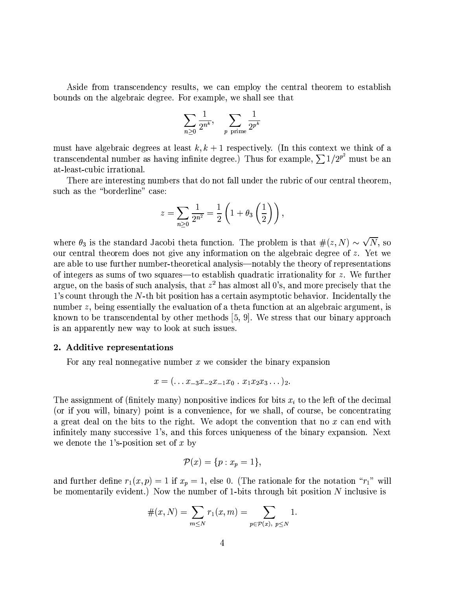Aside from transcendency results, we can employ the central theorem to establish bounds on the algebraic degree. For example, we shall see that

$$
\sum_{n\geq 0}\frac{1}{2^{n^k}},\quad \sum_{p\text{ prime}}\frac{1}{2^{p^k}}
$$

must have algebraic degrees at least  $k, k+1$  respectively. (In this context we think of a transcendental number as having infinite degree.) Thus for example,  $\sum 1/2^{p^2}$  must be an at-least-cubic irrational.

There are interesting numbers that do not fall under the rubric of our central theorem, such as the "borderline" case:

$$
z = \sum_{n\geq 0} \frac{1}{2^{n^2}} = \frac{1}{2} \left( 1 + \theta_3 \left( \frac{1}{2} \right) \right)
$$

where  $\theta_3$  is the standard Jacobi theta function. The problem is that  $\#(z, N) \sim \sqrt{N}$ , so our central theorem does not give any information on the algebraic degree of z. Yet we are able to use further number-theoretical analysis—notably the theory of representations of integers as sums of two squares—to establish quadratic irrationality for  $z$ . We further argue, on the basis of such analysis, that  $z^2$  has almost all 0's, and more precisely that the 1's count through the N-th bit position has a certain asymptotic behavior. Incidentally the number  $z$ , being essentially the evaluation of a theta function at an algebraic argument, is known to be transcendental by other methods [5, 9]. We stress that our binary approach is an apparently new way to look at such issues.

#### 2. Additive representations

For any real nonnegative number  $x$  we consider the binary expansion

$$
x=(\ldots x_{-3}x_{-2}x_{-1}x_0\ldots x_1x_2x_3\ldots)_2.
$$

The assignment of (finitely many) nonpositive indices for bits  $x_i$  to the left of the decimal (or if you will, binary) point is a convenience, for we shall, of course, be concentrating a great deal on the bits to the right. We adopt the convention that no  $x$  can end with infinitely many successive 1's, and this forces uniqueness of the binary expansion. Next we denote the 1's-position set of  $x$  by

$$
\mathcal{P}(x) = \{p : x_p = 1\},\
$$

and further define  $r_1(x, p) = 1$  if  $x_p = 1$ , else 0. (The rationale for the notation " $r_1$ " will be momentarily evident.) Now the number of 1-bits through bit position  $N$  inclusive is

$$
#(x, N) = \sum_{m \leq N} r_1(x, m) = \sum_{p \in \mathcal{P}(x), \ p \leq N} 1.
$$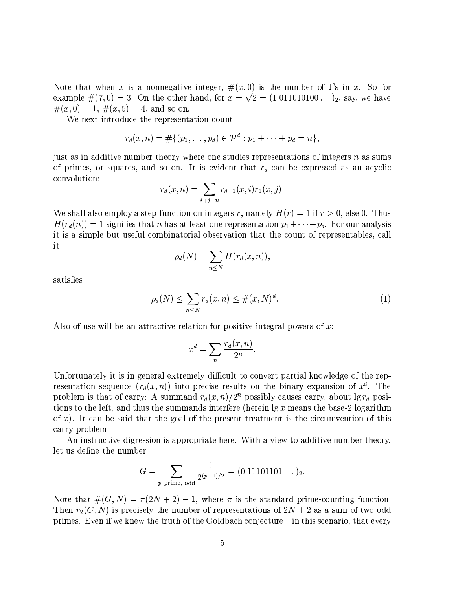Note that when x is a nonnegative integer,  $\#(x,0)$  is the number of 1's in x. So for example #(7,0) = 3. On the other hand, for  $x = \sqrt{2} = (1.011010100...)_2$ , say, we have  $#(x, 0) = 1, \#(x, 5) = 4$ , and so on.

We next introduce the representation count

$$
r_d(x, n) = #\{(p_1, \ldots, p_d) \in \mathcal{P}^d : p_1 + \cdots + p_d = n\},\
$$

just as in additive number theory where one studies representations of integers n as sums of primes, or squares, and so on. It is evident that  $r_d$  can be expressed as an acyclic convolution:

$$
r_d(x,n) = \sum_{i+j=n} r_{d-1}(x,i)r_1(x,j).
$$

We shall also employ a step-function on integers r, namely  $H(r) = 1$  if  $r > 0$ , else 0. Thus  $H(r_d(n)) = 1$  signifies that n has at least one representation  $p_1 + \cdots + p_d$ . For our analysis it is a simple but useful combinatorial observation that the count of representables, call it

$$
\rho_d(N) = \sum_{n \le N} H(r_d(x, n)),
$$

satisfies

$$
\rho_d(N) \le \sum_{n \le N} r_d(x, n) \le \#(x, N)^d. \tag{1}
$$

Also of use will be an attractive relation for positive integral powers of  $x$ .

$$
x^d = \sum_{n} \frac{r_d(x, n)}{2^n}
$$

Unfortunately it is in general extremely difficult to convert partial knowledge of the representation sequence  $(r_d(x, n))$  into precise results on the binary expansion of  $x^d$ . The problem is that of carry: A summand  $r_d(x, n)/2^n$  possibly causes carry, about  $\lg r_d$  positions to the left, and thus the summands interfere (herein  $\lg x$  means the base-2 logarithm of  $x$ ). It can be said that the goal of the present treatment is the circumvention of this carry problem.

An instructive digression is appropriate here. With a view to additive number theory, let us define the number

$$
G = \sum_{p \text{ prime, odd}} \frac{1}{2^{(p-1)/2}} = (0.11101101\dots)_2.
$$

Note that  $\#(G, N) = \pi(2N + 2) - 1$ , where  $\pi$  is the standard prime-counting function. Then  $r_2(G, N)$  is precisely the number of representations of  $2N + 2$  as a sum of two odd primes. Even if we knew the truth of the Goldbach conjecture—in this scenario, that every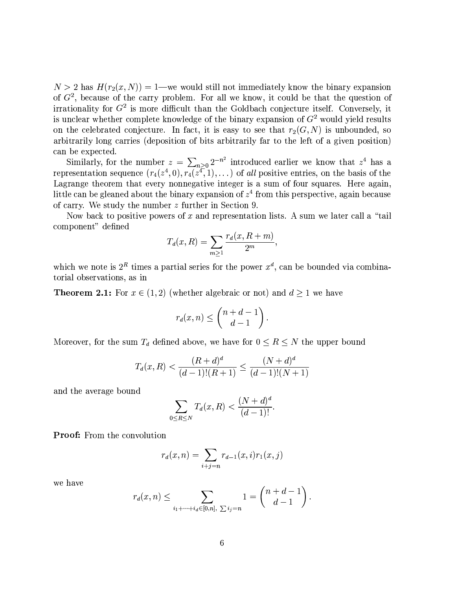$N > 2$  has  $H(r_2(x, N)) = 1$ —we would still not immediately know the binary expansion of  $G<sup>2</sup>$ , because of the carry problem. For all we know, it could be that the question of irrationality for  $G^2$  is more difficult than the Goldbach conjecture itself. Conversely, it is unclear whether complete knowledge of the binary expansion of  $G<sup>2</sup>$  would yield results on the celebrated conjecture. In fact, it is easy to see that  $r_2(G, N)$  is unbounded, so arbitrarily long carries (deposition of bits arbitrarily far to the left of a given position) can be expected.

Similarly, for the number  $z = \sum_{n\geq 0} 2^{-n^2}$  introduced earlier we know that  $z^4$  has a representation sequence  $(r_4(z^4, 0), r_4(z^4, 1), ...)$  of all positive entries, on the basis of the Lagrange theorem that every nonnegative integer is a sum of four squares. Here again, little can be gleaned about the binary expansion of  $z<sup>4</sup>$  from this perspective, again because of carry. We study the number  $z$  further in Section 9.

Now back to positive powers of x and representation lists. A sum we later call a "tail" component" defined

$$
T_d(x,R) = \sum_{m\geq 1} \frac{r_d(x,R+m)}{2^m},
$$

which we note is  $2^R$  times a partial series for the power  $x^d$ , can be bounded via combinatorial observations, as in

**Theorem 2.1:** For  $x \in (1,2)$  (whether algebraic or not) and  $d \ge 1$  we have

$$
r_d(x,n) \le \binom{n+d-1}{d-1}
$$

Moreover, for the sum  $T_d$  defined above, we have for  $0 \le R \le N$  the upper bound

$$
T_d(x,R) < \frac{(R+d)^d}{(d-1)!(R+1)} \le \frac{(N+d)^d}{(d-1)!(N+1)}
$$

and the average bound

$$
\sum_{0 \le R \le N} T_d(x, R) < \frac{(N + d)^d}{(d - 1)!}
$$

**Proof:** From the convolution

$$
r_d(x, n) = \sum_{i+j=n} r_{d-1}(x, i) r_1(x, j)
$$

we have

$$
r_d(x, n) \le \sum_{i_1 + \dots + i_d \in [0, n], \sum i_j = n} 1 = {n + d - 1 \choose d - 1}.
$$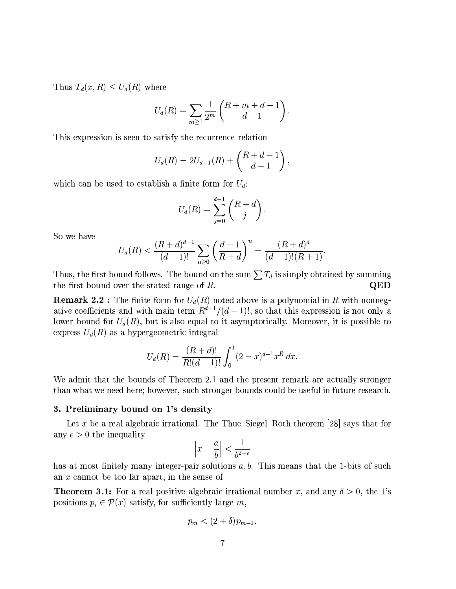Thus  $T_d(x,R) \leq U_d(R)$  where

$$
U_d(R) = \sum_{m \ge 1} \frac{1}{2^m} {R + m + d - 1 \choose d - 1}.
$$

This expression is seen to satisfy the recurrence relation

$$
U_d(R) = 2U_{d-1}(R) + \begin{pmatrix} R+d-1 \ d-1 \end{pmatrix},
$$

which can be used to establish a finite form for  $U_d$ :

$$
U_d(R) = \sum_{j=0}^{d-1} \binom{R+d}{j}
$$

So we have

$$
U_d(R) < \frac{(R+d)^{d-1}}{(d-1)!} \sum_{n \ge 0} \left(\frac{d-1}{R+d}\right)^n = \frac{(R+d)^d}{(d-1)!(R+1)}
$$

Thus, the first bound follows. The bound on the sum  $\sum T_d$  is simply obtained by summing the first bound over the stated range of  $R$ . QED

**Remark 2.2**: The finite form for  $U_d(R)$  noted above is a polynomial in R with nonnegative coefficients and with main term  $R^{d-1}/(d-1)!$ , so that this expression is not only a lower bound for  $U_d(R)$ , but is also equal to it asymptotically. Moreover, it is possible to express  $U_d(R)$  as a hypergeometric integral:

$$
U_d(R) = \frac{(R+d)!}{R!(d-1)!} \int_0^1 (2-x)^{d-1} x^R dx.
$$

We admit that the bounds of Theorem 2.1 and the present remark are actually stronger than what we need here; however, such stronger bounds could be useful in future research.

### 3. Preliminary bound on 1's density

Let x be a real algebraic irrational. The Thue-Siegel-Roth theorem [28] says that for any  $\epsilon > 0$  the inequality

$$
\left| x - \frac{a}{b} \right| < \frac{1}{b^{2+\epsilon}}
$$

has at most finitely many integer-pair solutions  $a, b$ . This means that the 1-bits of such an  $x$  cannot be too far apart, in the sense of

**Theorem 3.1:** For a real positive algebraic irrational number x, and any  $\delta > 0$ , the 1's positions  $p_i \in \mathcal{P}(x)$  satisfy, for sufficiently large m,

$$
p_m < (2+\delta)p_{m-1}.
$$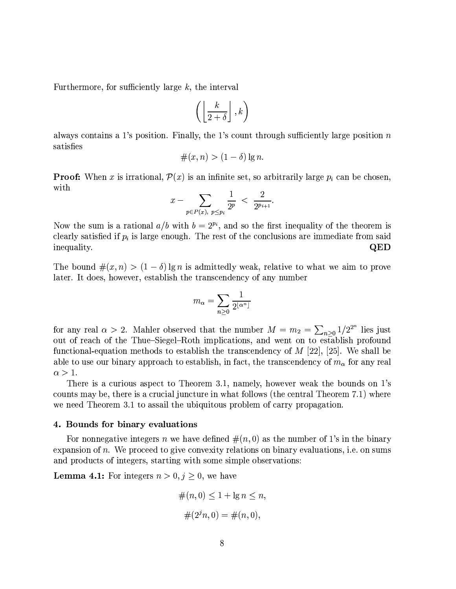Furthermore, for sufficiently large  $k$ , the interval

$$
\left(\left\lfloor\frac{k}{2+\delta}\right\rfloor,k\right)
$$

always contains a 1's position. Finally, the 1's count through sufficiently large position  $n$ satisfies

$$
\#(x, n) > (1 - \delta) \lg n.
$$

**Proof:** When x is irrational,  $\mathcal{P}(x)$  is an infinite set, so arbitrarily large  $p_i$  can be chosen, with

$$
x - \sum_{p \in P(x), \ p \le p_i} \frac{1}{2^p} < \frac{2}{2^{p_{i+1}}}.
$$

Now the sum is a rational  $a/b$  with  $b = 2^{p_i}$ , and so the first inequality of the theorem is clearly satisfied if  $p_i$  is large enough. The rest of the conclusions are immediate from said inequality. QED

The bound  $\#(x, n) > (1 - \delta) \lg n$  is admittedly weak, relative to what we aim to prove later. It does, however, establish the transcendency of any number

$$
m_{\alpha} = \sum_{n \geq 0} \frac{1}{2^{\lfloor \alpha^n \rfloor}}
$$

for any real  $\alpha > 2$ . Mahler observed that the number  $M = m_2 = \sum_{n>0} 1/2^{2^n}$  lies just out of reach of the Thue–Siegel–Roth implications, and went on to establish profound functional-equation methods to establish the transcendency of  $M$  [22], [25]. We shall be able to use our binary approach to establish, in fact, the transcendency of  $m_{\alpha}$  for any real  $\alpha > 1$ .

There is a curious aspect to Theorem 3.1, namely, however weak the bounds on 1's counts may be, there is a crucial juncture in what follows (the central Theorem 7.1) where we need Theorem 3.1 to assail the ubiquitous problem of carry propagation.

#### 4. Bounds for binary evaluations

For nonnegative integers n we have defined  $\#(n,0)$  as the number of 1's in the binary expansion of  $n$ . We proceed to give convexity relations on binary evaluations, i.e. on sums and products of integers, starting with some simple observations:

**Lemma 4.1:** For integers  $n > 0, j \ge 0$ , we have

$$
#(n, 0) \le 1 + \lg n \le n,
$$
  

$$
#(2^{j}n, 0) = #(n, 0),
$$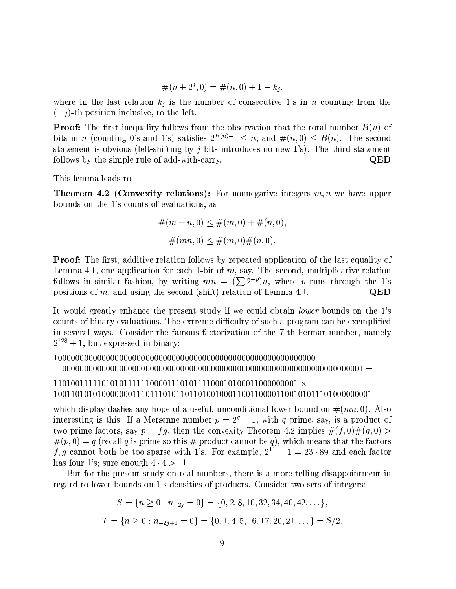$$
#(n+2j,0) = #(n,0) + 1 - kj,
$$

where in the last relation  $k_j$  is the number of consecutive 1's in n counting from the  $(-j)$ -th position inclusive, to the left.

**Proof:** The first inequality follows from the observation that the total number  $B(n)$  of bits in *n* (counting 0's and 1's) satisfies  $2^{B(n)-1} \le n$ , and  $\#(n,0) \le B(n)$ . The second statement is obvious (left-shifting by  $j$  bits introduces no new 1's). The third statement follows by the simple rule of add-with-carry. QED

This lemma leads to

**Theorem 4.2 (Convexity relations):** For nonnegative integers  $m, n$  we have upper bounds on the 1's counts of evaluations, as

$$
#(m+n, 0) \leq #(m, 0) + #(n, 0),
$$
  

$$
#(mn, 0) \leq #(m, 0)#(n, 0).
$$

Proof: The first, additive relation follows by repeated application of the last equality of Lemma 4.1, one application for each 1-bit of  $m$ , say. The second, multiplicative relation follows in similar fashion, by writing  $mn = (\sum 2^{-p})n$ , where p runs through the 1's positions of  $m$ , and using the second (shift) relation of Lemma 4.1. QED

It would greatly enhance the present study if we could obtain *lower* bounds on the 1's counts of binary evaluations. The extreme difficulty of such a program can be exemplified in several ways. Consider the famous factorization of the 7-th Fermat number, namely  $2^{128} + 1$ , but expressed in binary:

which display dashes any hope of a useful, unconditional lower bound on  $\#(mn,0)$ . Also interesting is this: If a Mersenne number  $p = 2<sup>q</sup> - 1$ , with q prime, say, is a product of two prime factors, say  $p = fg$ , then the convexity Theorem 4.2 implies  $\#(f,0)\#(g,0)$  $\#(p,0) = q$  (recall q is prime so this  $\#$  product cannot be q), which means that the factors f, g cannot both be too sparse with 1's. For example,  $2^{11} - 1 = 23 \cdot 89$  and each factor has four 1's; sure enough  $4 \cdot 4 > 11$ .

But for the present study on real numbers, there is a more telling disappointment in regard to lower bounds on 1's densities of products. Consider two sets of integers:

$$
S = \{n \ge 0 : n_{-2j} = 0\} = \{0, 2, 8, 10, 32, 34, 40, 42, \dots\},\
$$
  

$$
T = \{n \ge 0 : n_{-2j+1} = 0\} = \{0, 1, 4, 5, 16, 17, 20, 21, \dots\} = S/2,
$$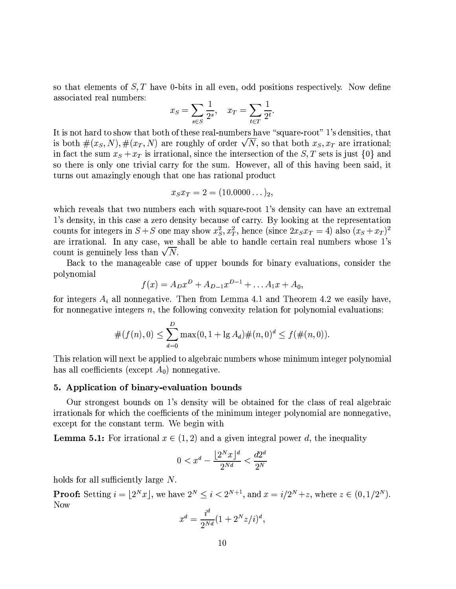so that elements of  $S$ ,  $T$  have 0-bits in all even, odd positions respectively. Now define associated real numbers:

$$
x_S = \sum_{s \in S} \frac{1}{2^s}, \quad x_T = \sum_{t \in T} \frac{1}{2^t}
$$

It is not hard to show that both of these real-numbers have "square-root" 1's densities, that is both  $\#(x_S, N), \#(x_T, N)$  are roughly of order  $\sqrt{N}$ , so that both  $x_S, x_T$  are irrational. in fact the sum  $x_S + x_T$  is irrational, since the intersection of the S, T sets is just  $\{0\}$  and so there is only one trivial carry for the sum. However, all of this having been said, it turns out amazingly enough that one has rational product

$$
x_S x_T = 2 = (10.0000\dots)_2,
$$

which reveals that two numbers each with square-root 1's density can have an extremal 1's density, in this case a zero density because of carry. By looking at the representation counts for integers in  $S + S$  one may show  $x_S^2$ ,  $x_T^2$ , hence (since  $2x_Sx_T = 4$ ) also  $(x_S + x_T)^2$ are irrational. In any case, we shall be able to handle certain real numbers whose 1's count is genuinely less than  $\sqrt{N}$ .

Back to the manageable case of upper bounds for binary evaluations, consider the polynomial

$$
f(x) = A_D x^D + A_{D-1} x^{D-1} + \dots A_1 x + A_0,
$$

for integers  $A_i$  all nonnegative. Then from Lemma 4.1 and Theorem 4.2 we easily have, for nonnegative integers  $n$ , the following convexity relation for polynomial evaluations:

$$
#(f(n), 0) \le \sum_{d=0}^{D} \max(0, 1 + \lg A_d) \#(n, 0)^d \le f(\#(n, 0)).
$$

This relation will next be applied to algebraic numbers whose minimum integer polynomial has all coefficients (except  $A_0$ ) nonnegative.

#### 5. Application of binary-evaluation bounds

Our strongest bounds on 1's density will be obtained for the class of real algebraic irrationals for which the coefficients of the minimum integer polynomial are nonnegative, except for the constant term. We begin with

**Lemma 5.1:** For irrational  $x \in (1, 2)$  and a given integral power d, the inequality

$$
0 < x^d - \frac{\lfloor 2^N x \rfloor^d}{2^{Nd}} < \frac{d2^d}{2^N}
$$

holds for all sufficiently large  $N$ .

**Proof:** Setting  $i = \lfloor 2^N x \rfloor$ , we have  $2^N \le i < 2^{N+1}$ , and  $x = i/2^N + z$ , where  $z \in (0, 1/2^N)$ . Now

$$
x^d = \frac{i^d}{2^{Nd}} (1 + 2^N z/i)^d,
$$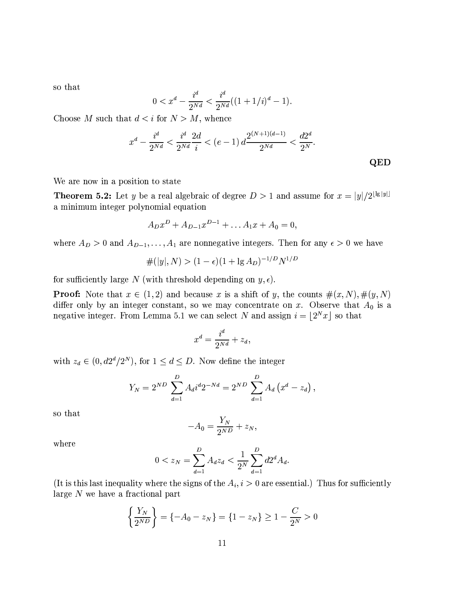so that

$$
0 < x^d - \frac{i^d}{2^{Nd}} < \frac{i^d}{2^{Nd}}((1+1/i)^d - 1).
$$

Choose M such that  $d < i$  for  $N > M$ , whence

$$
x^{d} - \frac{i^{d}}{2^{Nd}} < \frac{i^{d}}{2^{Nd}} \frac{2d}{i} < (e - 1) d \frac{2^{(N+1)(d-1)}}{2^{Nd}} < \frac{d2^{d}}{2^{N}}.
$$
 QED

We are now in a position to state

**Theorem 5.2:** Let y be a real algebraic of degree  $D > 1$  and assume for  $x = |y|/2^{\lfloor \lg |y| \rfloor}$ a minimum integer polynomial equation

$$
A_D x^D + A_{D-1} x^{D-1} + \dots A_1 x + A_0 = 0,
$$

where  $A_D > 0$  and  $A_{D-1}, \ldots, A_1$  are nonnegative integers. Then for any  $\epsilon > 0$  we have

$$
\#(|y|, N) > (1 - \epsilon)(1 + \lg A_D)^{-1/D} N^{1/D}
$$

for sufficiently large N (with threshold depending on  $y, \epsilon$ ).

**Proof:** Note that  $x \in (1,2)$  and because x is a shift of y, the counts  $\#(x, N), \#(y, N)$ differ only by an integer constant, so we may concentrate on x. Observe that  $A_0$  is a negative integer. From Lemma 5.1 we can select N and assign  $i = \lfloor 2^N x \rfloor$  so that

$$
x^d = \frac{i^d}{2^{Nd}} + z_d
$$

with  $z_d \in (0, d2^d/2^N)$ , for  $1 \leq d \leq D$ . Now define the integer

$$
Y_N = 2^{ND} \sum_{d=1}^{D} A_d i^d 2^{-Nd} = 2^{ND} \sum_{d=1}^{D} A_d (x^d - z_d),
$$

so that

$$
-A_0 = \frac{Y_N}{2^{ND}} + z_N,
$$

where

$$
0 < z_N = \sum_{d=1}^D A_d z_d < \frac{1}{2^N} \sum_{d=1}^D d2^d A_d.
$$

(It is this last inequality where the signs of the  $A_i$ ,  $i > 0$  are essential.) Thus for sufficiently large  $N$  we have a fractional part

$$
\left\{\frac{Y_N}{2^{ND}}\right\} = \left\{-A_0 - z_N\right\} = \left\{1 - z_N\right\} \ge 1 - \frac{C}{2^N} > 0
$$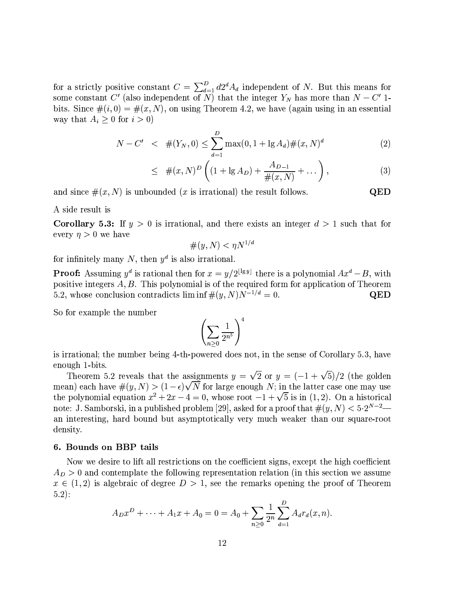for a strictly positive constant  $C = \sum_{d=1}^{D} d2^d A_d$  independent of N. But this means for some constant C' (also independent of N) that the integer  $Y_N$  has more than  $N - C'$  1bits. Since  $\#(i,0) = \#(x,N)$ , on using Theorem 4.2, we have (again using in an essential way that  $A_i \geq 0$  for  $i > 0$ )

$$
N - C' \quad < \quad \#(Y_N, 0) \le \sum_{d=1}^D \max(0, 1 + \lg A_d) \#(x, N)^d \tag{2}
$$

$$
\leq \#(x,N)^D \left( (1 + \lg A_D) + \frac{A_{D-1}}{\#(x,N)} + \dots \right), \tag{3}
$$

QED

and since  $\#(x, N)$  is unbounded (x is irrational) the result follows.

A side result is

**Corollary 5.3:** If  $y > 0$  is irrational, and there exists an integer  $d > 1$  such that for every  $\eta > 0$  we have

$$
\#(y, N) < \eta N^{1/d}
$$

for infinitely many N, then  $y^d$  is also irrational.

**Proof:** Assuming  $y^d$  is rational then for  $x = y/2^{\lfloor \lg y \rfloor}$  there is a polynomial  $Ax^d - B$ , with positive integers  $A, B$ . This polynomial is of the required form for application of Theorem 5.2, whose conclusion contradicts  $\liminf \#(y, N)N^{-1/d} = 0$ . QED

So for example the number

$$
\left(\sum_{n\geq 0}\frac{1}{2^{n^5}}\right)^4
$$

is irrational; the number being 4-th-powered does not, in the sense of Corollary 5.3, have enough 1-bits.

Theorem 5.2 reveals that the assignments  $y = \sqrt{2}$  or  $y = (-1 + \sqrt{5})/2$  (the golden mean) each have  $\#(y, N) > (1 - \epsilon)\sqrt{N}$  for large enough N; in the latter case one may use the polynomial equation  $x^2 + 2x - 4 = 0$ , whose root  $-1 + \sqrt{5}$  is in (1, 2). On a historical note: J. Samborski, in a published problem [29], asked for a proof that  $\#(y, N) < 5 \cdot 2^{N-2}$ an interesting, hard bound but asymptotically very much weaker than our square-root density.

#### 6. Bounds on BBP tails

Now we desire to lift all restrictions on the coefficient signs, except the high coefficient  $A_D > 0$  and contemplate the following representation relation (in this section we assume  $x \in (1,2)$  is algebraic of degree  $D > 1$ , see the remarks opening the proof of Theorem  $5.2$ :

$$
A_D x^D + \dots + A_1 x + A_0 = 0 = A_0 + \sum_{n \geq 0} \frac{1}{2^n} \sum_{d=1}^D A_d r_d(x, n).
$$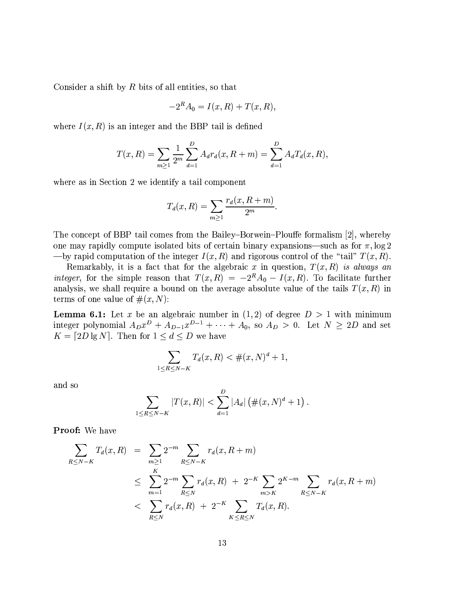Consider a shift by  $R$  bits of all entities, so that

$$
-2R A0 = I(x, R) + T(x, R),
$$

where  $I(x, R)$  is an integer and the BBP tail is defined

$$
T(x,R) = \sum_{m\geq 1} \frac{1}{2^m} \sum_{d=1}^D A_d r_d(x, R+m) = \sum_{d=1}^D A_d T_d(x, R),
$$

where as in Section 2 we identify a tail component

$$
T_d(x,R) = \sum_{m \geq 1} \frac{r_d(x,R+m)}{2^m}.
$$

The concept of BBP tail comes from the Bailey-Borwein-Plouffe formalism [2], whereby one may rapidly compute isolated bits of certain binary expansions—such as for  $\pi$ ,  $\log 2$ -by rapid computation of the integer  $I(x, R)$  and rigorous control of the "tail"  $T(x, R)$ .

Remarkably, it is a fact that for the algebraic x in question,  $T(x,R)$  is always an integer, for the simple reason that  $T(x,R) = -2^R A_0 - I(x,R)$ . To facilitate further analysis, we shall require a bound on the average absolute value of the tails  $T(x, R)$  in terms of one value of  $\#(x, N)$ :

**Lemma 6.1:** Let x be an algebraic number in  $(1, 2)$  of degree  $D > 1$  with minimum integer polynomial  $A_D x^D + A_{D-1} x^{D-1} + \cdots + A_0$ , so  $A_D > 0$ . Let  $N \ge 2D$  and set  $K = [2D \lg N]$ . Then for  $1 \le d \le D$  we have

$$
\sum_{1 \le R \le N-K} T_d(x, R) < \#(x, N)^d + 1,
$$

and so

$$
\sum_{1 \leq R \leq N-K} |T(x,R)| < \sum_{d=1}^{D} |A_d| \left( \#(x,N)^d + 1 \right).
$$

Proof: We have

$$
\sum_{R \le N-K} T_d(x, R) = \sum_{m \ge 1} 2^{-m} \sum_{R \le N-K} r_d(x, R+m)
$$
\n
$$
\le \sum_{m=1}^K 2^{-m} \sum_{R \le N} r_d(x, R) + 2^{-K} \sum_{m > K} 2^{K-m} \sum_{R \le N-K} r_d(x, R+m)
$$
\n
$$
< \sum_{R \le N} r_d(x, R) + 2^{-K} \sum_{K \le R \le N} T_d(x, R).
$$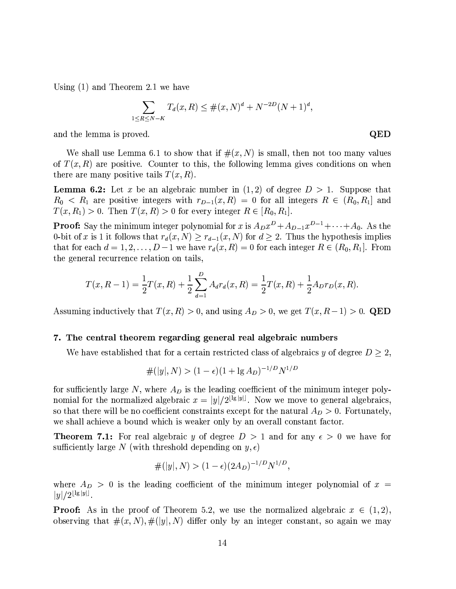Using  $(1)$  and Theorem 2.1 we have

$$
\sum_{1 \le R \le N-K} T_d(x,R) \le \#(x,N)^d + N^{-2D}(N+1)^d,
$$

and the lemma is proved.

We shall use Lemma 6.1 to show that if  $\#(x, N)$  is small, then not too many values of  $T(x, R)$  are positive. Counter to this, the following lemma gives conditions on when there are many positive tails  $T(x, R)$ .

**Lemma 6.2:** Let x be an algebraic number in  $(1, 2)$  of degree  $D > 1$ . Suppose that  $R_0 < R_1$  are positive integers with  $r_{D-1}(x,R) = 0$  for all integers  $R \in (R_0, R_1]$  and  $T(x, R_1) > 0$ . Then  $T(x, R) > 0$  for every integer  $R \in [R_0, R_1]$ .

**Proof:** Say the minimum integer polynomial for x is  $A_D x^D + A_{D-1} x^{D-1} + \cdots + A_0$ . As the 0-bit of x is 1 it follows that  $r_d(x, N) \ge r_{d-1}(x, N)$  for  $d \ge 2$ . Thus the hypothesis implies that for each  $d = 1, 2, ..., D-1$  we have  $r_d(x, R) = 0$  for each integer  $R \in (R_0, R_1]$ . From the general recurrence relation on tails,

$$
T(x, R-1) = \frac{1}{2}T(x, R) + \frac{1}{2}\sum_{d=1}^{D} A_d r_d(x, R) = \frac{1}{2}T(x, R) + \frac{1}{2}A_D r_D(x, R)
$$

Assuming inductively that  $T(x, R) > 0$ , and using  $A_D > 0$ , we get  $T(x, R-1) > 0$ . QED

#### 7. The central theorem regarding general real algebraic numbers

We have established that for a certain restricted class of algebraics y of degree  $D \geq 2$ ,

$$
\#(|y|, N) > (1 - \epsilon)(1 + \lg A_D)^{-1/D} N^{1/D}
$$

for sufficiently large N, where  $A_D$  is the leading coefficient of the minimum integer polynomial for the normalized algebraic  $x = |y|/2^{\lfloor \lg |y| \rfloor}$ . Now we move to general algebraics, so that there will be no coefficient constraints except for the natural  $A_D > 0$ . Fortunately, we shall achieve a bound which is weaker only by an overall constant factor.

**Theorem 7.1:** For real algebraic y of degree  $D > 1$  and for any  $\epsilon > 0$  we have for sufficiently large N (with threshold depending on  $y, \epsilon$ )

$$
\#(|y|, N) > (1 - \epsilon)(2A_D)^{-1/D} N^{1/D},
$$

where  $A_D > 0$  is the leading coefficient of the minimum integer polynomial of  $x =$  $|y|/2^{\lfloor \lg |y| \rfloor}$ .

**Proof:** As in the proof of Theorem 5.2, we use the normalized algebraic  $x \in (1,2)$ , observing that  $\#(x, N), \#([y], N)$  differ only by an integer constant, so again we may

QED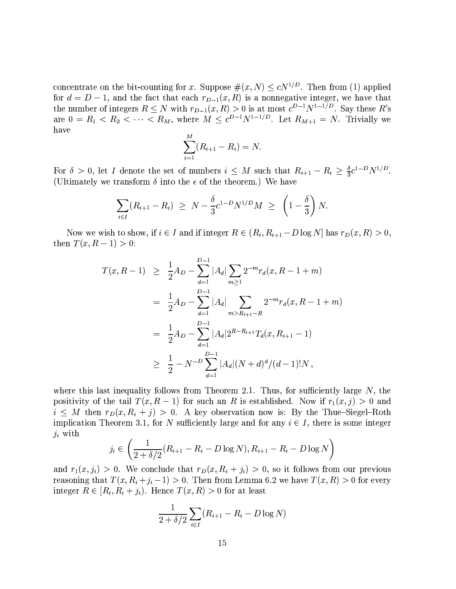concentrate on the bit-counting for x. Suppose  $\#(x, N) \le cN^{1/D}$ . Then from (1) applied for  $d = D - 1$ , and the fact that each  $r_{D-1}(x, R)$  is a nonnegative integer, we have that the number of integers  $R \leq N$  with  $r_{D-1}(x,R) > 0$  is at most  $c^{D-1}N^{1-1/D}$ . Say these R's are  $0 = R_1 < R_2 < \cdots < R_M$ , where  $M \leq c^{D-1} N^{1-1/D}$ . Let  $R_{M+1} = N$ . Trivially we have

$$
\sum_{i=1}^{M} (R_{i+1} - R_i) = N.
$$

For  $\delta > 0$ , let I denote the set of numbers  $i \leq M$  such that  $R_{i+1} - R_i \geq \frac{\delta}{3} c^{1-D} N^{1/D}$ . (Ultimately we transform  $\delta$  into the  $\epsilon$  of the theorem.) We have

$$
\sum_{i\in I} (R_{i+1} - R_i) \geq N - \frac{\delta}{3} c^{1-D} N^{1/D} M \geq \left(1 - \frac{\delta}{3}\right) N.
$$

Now we wish to show, if  $i \in I$  and if integer  $R \in (R_i, R_{i+1} - D \log N]$  has  $r_D(x, R) > 0$ , then  $T(x, R - 1) > 0$ :

$$
T(x, R-1) \geq \frac{1}{2}A_D - \sum_{d=1}^{D-1} |A_d| \sum_{m \geq 1} 2^{-m} r_d(x, R-1+m)
$$
  
= 
$$
\frac{1}{2}A_D - \sum_{d=1}^{D-1} |A_d| \sum_{m > R_{i+1}-R} 2^{-m} r_d(x, R-1+m)
$$
  
= 
$$
\frac{1}{2}A_D - \sum_{d=1}^{D-1} |A_d| 2^{R-R_{i+1}} T_d(x, R_{i+1}-1)
$$
  

$$
\geq \frac{1}{2} - N^{-D} \sum_{d=1}^{D-1} |A_d| (N+d)^d / (d-1)! N,
$$

where this last inequality follows from Theorem 2.1. Thus, for sufficiently large  $N$ , the positivity of the tail  $T(x, R-1)$  for such an R is established. Now if  $r_1(x, j) > 0$  and  $i \leq M$  then  $r_D(x, R_i + j) > 0$ . A key observation now is: By the Thue-Siegel-Roth implication Theorem 3.1, for N sufficiently large and for any  $i \in I$ , there is some integer  $j_i$  with

$$
j_i \in \left(\frac{1}{2 + \delta/2}(R_{i+1} - R_i - D \log N), R_{i+1} - R_i - D \log N\right)
$$

and  $r_1(x, j_i) > 0$ . We conclude that  $r_D(x, R_i + j_i) > 0$ , so it follows from our previous reasoning that  $T(x, R_i + j_i - 1) > 0$ . Then from Lemma 6.2 we have  $T(x, R) > 0$  for every integer  $R \in [R_i, R_i + j_i]$ . Hence  $T(x, R) > 0$  for at least

$$
\frac{1}{2+\delta/2}\sum_{i\in I}(R_{i+1}-R_i-D\log N)
$$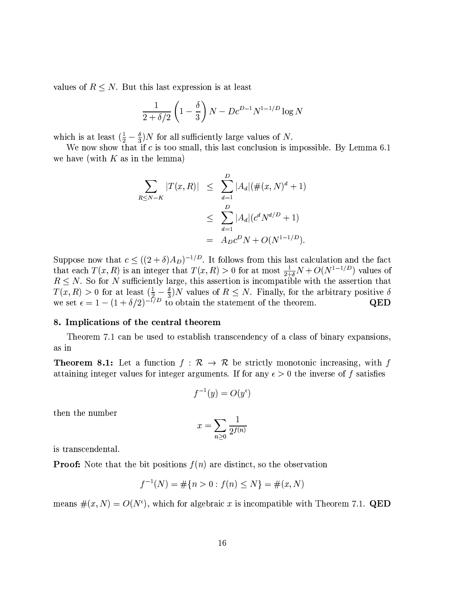values of  $R \leq N$ . But this last expression is at least

$$
\frac{1}{2+\delta/2} \left(1 - \frac{\delta}{3}\right) N - Dc^{D-1} N^{1-1/D} \log N
$$

which is at least  $(\frac{1}{2} - \frac{\delta}{3})N$  for all sufficiently large values of N.

We now show that if  $c$  is too small, this last conclusion is impossible. By Lemma 6.1 we have (with  $K$  as in the lemma)

$$
\sum_{R \le N-K} |T(x,R)| \le \sum_{d=1}^{D} |A_d| (\#(x,N)^d + 1)
$$
  

$$
\le \sum_{d=1}^{D} |A_d| (c^d N^{d/D} + 1)
$$
  

$$
= A_D c^D N + O(N^{1-1/D}).
$$

Suppose now that  $c \le ((2 + \delta)A_D)^{-1/D}$ . It follows from this last calculation and the fact that each  $T(x, R)$  is an integer that  $T(x, R) > 0$  for at most  $\frac{1}{2+\delta}N + O(N^{1-1/D})$  values of  $R \leq N$ . So for N sufficiently large, this assertion is incompatible with the assertion that  $T(x, R) > 0$  for at least  $(\frac{1}{2} - \frac{\delta}{3})N$  values of  $R \le N$ . Finally, for the arbitrary positive  $\delta$  we set  $\epsilon = 1 - (1 + \delta/2)^{-1/D}$  to obtain the statement of the theorem. QED

#### 8. Implications of the central theorem

Theorem 7.1 can be used to establish transcendency of a class of binary expansions, as in

**Theorem 8.1:** Let a function  $f : \mathcal{R} \to \mathcal{R}$  be strictly monotonic increasing, with f attaining integer values for integer arguments. If for any  $\epsilon > 0$  the inverse of f satisfies

$$
f^{-1}(y) = O(y^{\epsilon})
$$

then the number

$$
x = \sum_{n\geq 0} \frac{1}{2^{f(n)}}
$$

is transcendental.

**Proof:** Note that the bit positions  $f(n)$  are distinct, so the observation

$$
f^{-1}(N) = \# \{ n > 0 : f(n) \le N \} = \#(x, N)
$$

means  $\#(x, N) = O(N^{\epsilon})$ , which for algebraic x is incompatible with Theorem 7.1. QED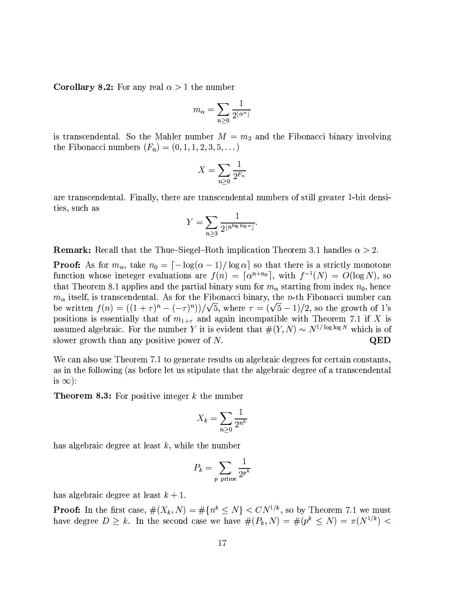**Corollary 8.2:** For any real  $\alpha > 1$  the number

$$
m_{\alpha} = \sum_{n \geq 0} \frac{1}{2^{\lfloor \alpha^n \rfloor}}
$$

is transcendental. So the Mahler number  $M = m_2$  and the Fibonacci binary involving the Fibonacci numbers  $(F_n) = (0, 1, 1, 2, 3, 5, ...)$ 

$$
X = \sum_{n\geq 0} \frac{1}{2^{F_n}}
$$

are transcendental. Finally, there are transcendental numbers of still greater 1-bit densities, such as

$$
Y = \sum_{n \ge 3} \frac{1}{2^{\lfloor n^{\log \log n} \rfloor}}.
$$

**Remark:** Recall that the Thue-Siegel-Roth implication Theorem 3.1 handles  $\alpha > 2$ .

**Proof:** As for  $m_{\alpha}$ , take  $n_0 = \frac{\lceil -\log(\alpha-1)/\log \alpha \rceil}{\log \alpha}$  so that there is a strictly monotone function whose ineteger evaluations are  $f(n) = \lceil \alpha^{n+n_0} \rceil$ , with  $f^{-1}(N) = O(\log N)$ , so that Theorem 8.1 applies and the partial binary sum for  $m_{\alpha}$  starting from index  $n_0$ , hence  $m_{\alpha}$  itself, is transcendental. As for the Fibonacci binary, the n-th Fibonacci number can be written  $f(n) = ((1+\tau)^n - (-\tau)^n))/\sqrt{5}$ , where  $\tau = (\sqrt{5}-1)/2$ , so the growth of 1's positions is essentially that of  $m_{1+\tau}$  and again incompatible with Theorem 7.1 if X is assumed algebraic. For the number Y it is evident that  $\#(Y, N) \sim N^{1/\log \log N}$  which is of slower growth than any positive power of  $N$ . **QED** 

We can also use Theorem 7.1 to generate results on algebraic degrees for certain constants, as in the following (as before let us stipulate that the algebraic degree of a transcendental is  $\infty$ :

**Theorem 8.3:** For positive integer  $k$  the number

$$
X_k = \sum_{n \ge 0} \frac{1}{2^{n^k}}
$$

has algebraic degree at least  $k$ , while the number

$$
P_k = \sum_{p \text{ prime}} \frac{1}{2^{p^k}}
$$

has algebraic degree at least  $k + 1$ .

**Proof:** In the first case,  $\#(X_k, N) = \# \{n^k \leq N\} < CN^{1/k}$ , so by Theorem 7.1 we must have degree  $D \geq k$ . In the second case we have  $\#(P_k, N) = \#(p^k \leq N) = \pi(N^{1/k})$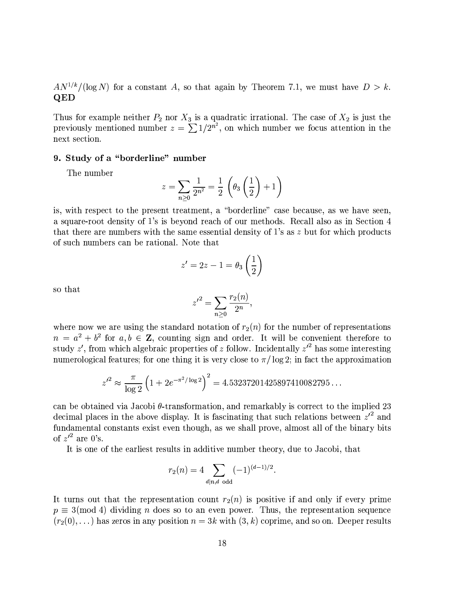$AN^{1/k}/(\log N)$  for a constant A, so that again by Theorem 7.1, we must have  $D > k$ . QED

Thus for example neither  $P_2$  nor  $X_3$  is a quadratic irrational. The case of  $X_2$  is just the previously mentioned number  $z = \sum 1/2^{n^2}$ , on which number we focus attention in the next section.

### 9. Study of a "borderline" number

The number

$$
z = \sum_{n\geq 0} \frac{1}{2^{n^2}} = \frac{1}{2} \left( \theta_3 \left( \frac{1}{2} \right) + 1 \right)
$$

is, with respect to the present treatment, a "borderline" case because, as we have seen, a square-root density of 1's is beyond reach of our methods. Recall also as in Section 4 that there are numbers with the same essential density of 1's as  $z$  but for which products of such numbers can be rational. Note that

$$
z'=2z-1=\theta_3\left(\frac{1}{2}\right)
$$

so that

$$
{z'}^2 = \sum_{n\geq 0} \frac{r_2(n)}{2^n},
$$

where now we are using the standard notation of  $r_2(n)$  for the number of representations  $n = a^2 + b^2$  for  $a, b \in \mathbb{Z}$ , counting sign and order. It will be convenient therefore to study  $z'$ , from which algebraic properties of  $z$  follow. Incidentally  $z'^2$  has some interesting numerological features; for one thing it is very close to  $\pi / \log 2$ ; in fact the approximation

$$
z'^2 \approx \frac{\pi}{\log 2} \left( 1 + 2e^{-\pi^2/\log 2} \right)^2 = 4.53237201425897410082795...
$$

can be obtained via Jacobi  $\theta$ -transformation, and remarkably is correct to the implied 23 decimal places in the above display. It is fascinating that such relations between  $z'^2$  and fundamental constants exist even though, as we shall prove, almost all of the binary bits of  $z'^2$  are 0's.

It is one of the earliest results in additive number theory, due to Jacobi, that

$$
r_2(n) = 4 \sum_{d|n, d \text{ odd}} (-1)^{(d-1)/2}.
$$

It turns out that the representation count  $r_2(n)$  is positive if and only if every prime  $p \equiv 3 \pmod{4}$  dividing *n* does so to an even power. Thus, the representation sequence  $(r_2(0),...)$  has zeros in any position  $n=3k$  with  $(3, k)$  coprime, and so on. Deeper results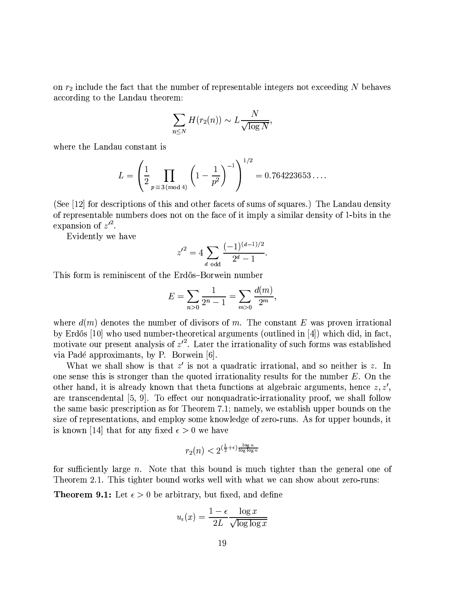on  $r_2$  include the fact that the number of representable integers not exceeding N behaves according to the Landau theorem:

$$
\sum_{n\leq N} H(r_2(n)) \sim L \frac{N}{\sqrt{\log N}},
$$

where the Landau constant is

$$
L = \left(\frac{1}{2} \prod_{p \equiv 3 \pmod{4}} \left(1 - \frac{1}{p^2}\right)^{-1}\right)^{1/2} = 0.764223653\dots
$$

(See [12] for descriptions of this and other facets of sums of squares.) The Landau density of representable numbers does not on the face of it imply a similar density of 1-bits in the expansion of  $z'^2$ .

Evidently we have

$$
{z'}^2 = 4 \sum_{d \text{ odd}} \frac{(-1)^{(d-1)/2}}{2^d - 1}
$$

This form is reminiscent of the Erdős–Borwein number

$$
E = \sum_{n>0} \frac{1}{2^n - 1} = \sum_{m>0} \frac{d(m)}{2^m},
$$

where  $d(m)$  denotes the number of divisors of m. The constant E was proven irrational by Erdős [10] who used number-theoretical arguments (outlined in [4]) which did, in fact, motivate our present analysis of  $z'^2$ . Later the irrationality of such forms was established via Padé approximants, by P. Borwein [6].

What we shall show is that  $z'$  is not a quadratic irrational, and so neither is z. In one sense this is stronger than the quoted irrationality results for the number  $E$ . On the other hand, it is already known that theta functions at algebraic arguments, hence  $z, z'$ , are transcendental [5, 9]. To effect our nonquadratic-irrationality proof, we shall follow the same basic prescription as for Theorem 7.1; namely, we establish upper bounds on the size of representations, and employ some knowledge of zero-runs. As for upper bounds, it is known [14] that for any fixed  $\epsilon > 0$  we have

$$
r_2(n) < 2^{\left(\frac{1}{2} + \epsilon\right) \frac{\log n}{\log \log n}}
$$

for sufficiently large n. Note that this bound is much tighter than the general one of Theorem 2.1. This tighter bound works well with what we can show about zero-runs:

**Theorem 9.1:** Let  $\epsilon > 0$  be arbitrary, but fixed, and define

$$
u_{\epsilon}(x) = \frac{1 - \epsilon}{2L} \frac{\log x}{\sqrt{\log \log x}}
$$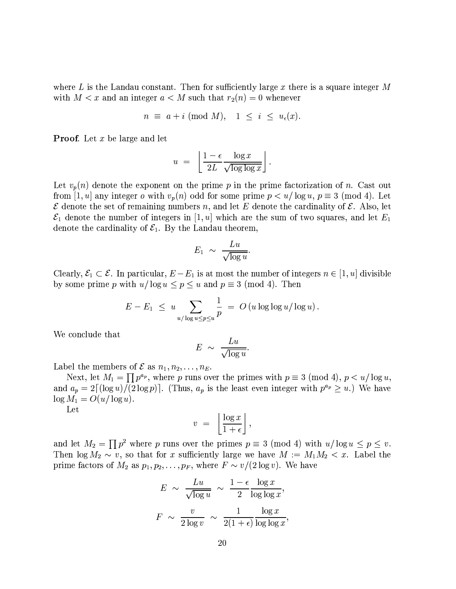where L is the Landau constant. Then for sufficiently large x there is a square integer M with  $M < x$  and an integer  $a < M$  such that  $r_2(n) = 0$  whenever

$$
n \equiv a + i \pmod{M}, \quad 1 \leq i \leq u_{\epsilon}(x).
$$

**Proof.** Let  $x$  be large and let

$$
u = \left[ \frac{1 - \epsilon}{2L} \frac{\log x}{\sqrt{\log \log x}} \right].
$$

Let  $v_p(n)$  denote the exponent on the prime p in the prime factorization of n. Cast out from [1, u] any integer o with  $v_p(n)$  odd for some prime  $p < u/\log u$ ,  $p \equiv 3 \pmod{4}$ . Let  $\mathcal E$  denote the set of remaining numbers n, and let E denote the cardinality of  $\mathcal E$ . Also, let  $\mathcal{E}_1$  denote the number of integers in [1, u] which are the sum of two squares, and let  $E_1$ denote the cardinality of  $\mathcal{E}_1$ . By the Landau theorem,

$$
E_1 \;\sim\; \frac{Lu}{\sqrt{\log u}}.
$$

Clearly,  $\mathcal{E}_1 \subset \mathcal{E}$ . In particular,  $E - E_1$  is at most the number of integers  $n \in [1, u]$  divisible by some prime p with  $u/\log u \le p \le u$  and  $p \equiv 3 \pmod{4}$ . Then

$$
E - E_1 \leq u \sum_{u/\log u \leq p \leq u} \frac{1}{p} = O(u \log \log u / \log u).
$$

We conclude that

$$
E \sim \frac{Lu}{\sqrt{\log u}}.
$$

Label the members of  $\mathcal E$  as  $n_1, n_2, \ldots, n_E$ .

Next, let  $M_1 = \prod p^{a_p}$ , where p runs over the primes with  $p \equiv 3 \pmod{4}$ ,  $p < u/\log u$ , and  $a_p = 2\lceil (\log u)/(2\log p) \rceil$ . (Thus,  $a_p$  is the least even integer with  $p^{a_p} \geq u$ .) We have  $\log M_1 = O(u/\log u).$ 

Let

$$
v = \left\lfloor \frac{\log x}{1 + \epsilon} \right\rfloor,
$$

and let  $M_2 = \prod p^2$  where p runs over the primes  $p \equiv 3 \pmod{4}$  with  $u/\log u \le p \le v$ . Then  $\log M_2 \sim v$ , so that for x sufficiently large we have  $M := M_1 M_2 < x$ . Label the prime factors of  $M_2$  as  $p_1, p_2, \ldots, p_F$ , where  $F \sim v/(2 \log v)$ . We have

$$
E \sim \frac{Lu}{\sqrt{\log u}} \sim \frac{1-\epsilon}{2} \frac{\log x}{\log \log x},
$$

$$
F \sim \frac{v}{2 \log v} \sim \frac{1}{2(1+\epsilon)} \frac{\log x}{\log \log x},
$$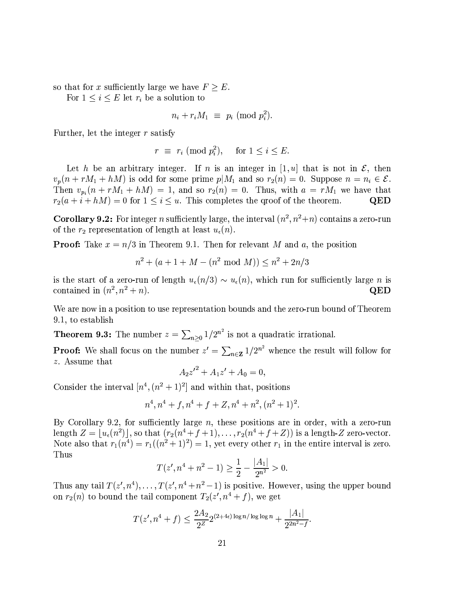so that for x sufficiently large we have  $F \geq E$ .

For  $1 \leq i \leq E$  let  $r_i$  be a solution to

$$
n_i + r_i M_1 \equiv p_i \pmod{p_i^2}.
$$

Further, let the integer  $r$  satisfy

$$
r \equiv r_i \pmod{p_i^2}, \quad \text{ for } 1 \le i \le E.
$$

Let h be an arbitrary integer. If n is an integer in [1, u] that is not in  $\mathcal{E}$ , then  $v_p(n + rM_1 + hM)$  is odd for some prime  $p|M_1$  and so  $r_2(n) = 0$ . Suppose  $n = n_i \in \mathcal{E}$ . Then  $v_{p_i}(n + rM_1 + hM) = 1$ , and so  $r_2(n) = 0$ . Thus, with  $a = rM_1$  we have that  $r_2(a+i+hM)=0$  for  $1\leq i\leq u$ . This completes the groof of the theorem. QED

**Corollary 9.2:** For integer *n* sufficiently large, the interval  $(n^2, n^2+n)$  contains a zero-run of the  $r_2$  representation of length at least  $u_{\epsilon}(n)$ .

**Proof:** Take  $x = n/3$  in Theorem 9.1. Then for relevant M and a, the position

$$
n^2 + (a+1+M - (n^2 \bmod M)) \le n^2 + 2n/3
$$

is the start of a zero-run of length  $u_{\epsilon}(n/3) \sim u_{\epsilon}(n)$ , which run for sufficiently large *n* is contained in  $(n^2, n^2 + n)$ . QED

We are now in a position to use representation bounds and the zero-run bound of Theorem 9.1, to establish

**Theorem 9.3:** The number  $z = \sum_{n>0} 1/2^{n^2}$  is not a quadratic irrational.

**Proof:** We shall focus on the number  $z' = \sum_{n \in \mathbf{Z}} 1/2^{n^2}$  whence the result will follow for z. Assume that

$$
A_2 z'^2 + A_1 z' + A_0 = 0,
$$

Consider the interval  $[n^4, (n^2+1)^2]$  and within that, positions

$$
n^4, n^4 + f, n^4 + f + Z, n^4 + n^2, (n^2 + 1)^2.
$$

By Corollary 9.2, for sufficiently large  $n$ , these positions are in order, with a zero-run length  $Z = |u_{\epsilon}(n^2)|$ , so that  $(r_2(n^4 + f + 1), \ldots, r_2(n^4 + f + Z))$  is a length-Z zero-vector. Note also that  $r_1(n^4) = r_1((n^2+1)^2) = 1$ , yet every other  $r_1$  in the entire interval is zero. Thus

$$
T(z', n^4 + n^2 - 1) \ge \frac{1}{2} - \frac{|A_1|}{2^{n^2}} > 0.
$$

Thus any tail  $T(z', n^4), \ldots, T(z', n^4 + n^2 - 1)$  is positive. However, using the upper bound on  $r_2(n)$  to bound the tail component  $T_2(z', n^4 + f)$ , we get

$$
T(z', n^4 + f) \le \frac{2A_2}{2^Z} 2^{(2+4\epsilon) \log n / \log \log n} + \frac{|A_1|}{2^{2n^2 - f}}.
$$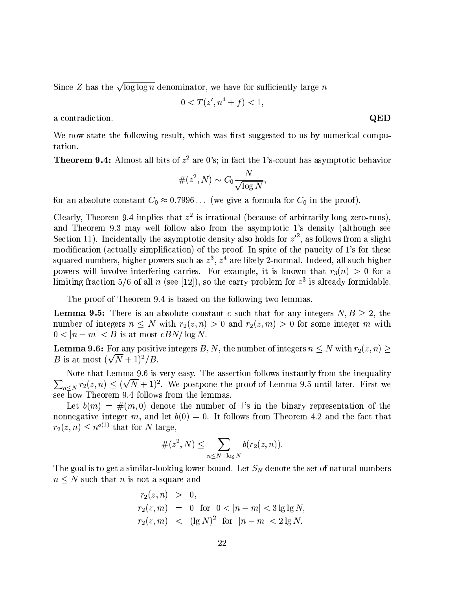Since Z has the  $\sqrt{\log \log n}$  denominator, we have for sufficiently large n

$$
0
$$

a contradiction.

We now state the following result, which was first suggested to us by numerical computation.

**Theorem 9.4:** Almost all bits of  $z^2$  are 0's; in fact the 1's-count has asymptotic behavior

$$
\#(z^2, N) \sim C_0 \frac{N}{\sqrt{\log N}}
$$

for an absolute constant  $C_0 \approx 0.7996...$  (we give a formula for  $C_0$  in the proof).

Clearly, Theorem 9.4 implies that  $z^2$  is irrational (because of arbitrarily long zero-runs). and Theorem 9.3 may well follow also from the asymptotic 1's density (although see Section 11). Incidentally the asymptotic density also holds for  $z'^2$ , as follows from a slight modification (actually simplification) of the proof. In spite of the paucity of 1's for these squared numbers, higher powers such as  $z^3$ ,  $z^4$  are likely 2-normal. Indeed, all such higher powers will involve interfering carries. For example, it is known that  $r_3(n) > 0$  for a limiting fraction 5/6 of all n (see [12]), so the carry problem for  $z<sup>3</sup>$  is already formidable.

The proof of Theorem 9.4 is based on the following two lemmas.

**Lemma 9.5:** There is an absolute constant c such that for any integers  $N, B \geq 2$ , the number of integers  $n \leq N$  with  $r_2(z,n) > 0$  and  $r_2(z,m) > 0$  for some integer m with  $0 < |n-m| < B$  is at most  $cBN/\log N$ .

**Lemma 9.6:** For any positive integers B, N, the number of integers  $n \leq N$  with  $r_2(z, n)$ *B* is at most  $(\sqrt{N}+1)^2/B$ .

Note that Lemma 9.6 is very easy. The assertion follows instantly from the inequality  $\sum_{n\leq N} r_2(z,n) \leq (\sqrt{N}+1)^2$ . We postpone the proof of Lemma 9.5 until later. First we see how Theorem 9.4 follows from the lemmas.

Let  $b(m) = \#(m,0)$  denote the number of 1's in the binary representation of the nonnegative integer m, and let  $b(0) = 0$ . It follows from Theorem 4.2 and the fact that  $r_2(z, n) \leq n^{o(1)}$  that for N large,

$$
\#(z^2, N) \leq \sum_{n \leq N + \log N} b(r_2(z, n)).
$$

The goal is to get a similar-looking lower bound. Let  $S_N$  denote the set of natural numbers  $n \leq N$  such that n is not a square and

$$
r_2(z, n) > 0,
$$
  
\n
$$
r_2(z, m) = 0 \text{ for } 0 < |n - m| < 3 \lg \lg N,
$$
  
\n
$$
r_2(z, m) < ( \lg N)^2 \text{ for } |n - m| < 2 \lg N.
$$

QED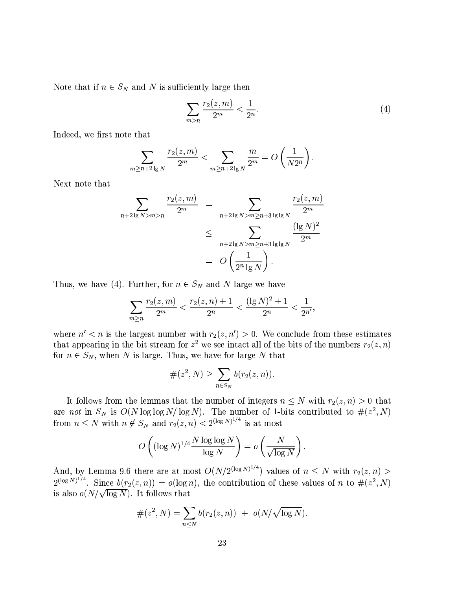Note that if  $n \in S_N$  and N is sufficiently large then

$$
\sum_{m>n} \frac{r_2(z,m)}{2^m} < \frac{1}{2^n}.\tag{4}
$$

Indeed, we first note that

$$
\sum_{m \ge n+2 \lg N} \frac{r_2(z,m)}{2^m} < \sum_{m \ge n+2 \lg N} \frac{m}{2^m} = O\left(\frac{1}{N2^n}\right)
$$

Next note that

$$
\sum_{n+2 \lg N > m > n} \frac{r_2(z, m)}{2^m} = \sum_{n+2 \lg N > m \ge n+3 \lg \lg N} \frac{r_2(z, m)}{2^m}
$$
  

$$
\le \sum_{n+2 \lg N > m \ge n+3 \lg \lg N} \frac{(\lg N)^2}{2^m}
$$
  

$$
= O\left(\frac{1}{2^n \lg N}\right).
$$

Thus, we have (4). Further, for  $n \in S_N$  and N large we have

$$
\sum_{m\geq n}\frac{r_2(z,m)}{2^m} < \frac{r_2(z,n)+1}{2^n} < \frac{(\lg N)^2 + 1}{2^n} < \frac{1}{2^{n'}},
$$

where  $n' < n$  is the largest number with  $r_2(z, n') > 0$ . We conclude from these estimates that appearing in the bit stream for  $z^2$  we see intact all of the bits of the numbers  $r_2(z, n)$ for  $n \in S_N$ , when N is large. Thus, we have for large N that

$$
\#(z^2, N) \ge \sum_{n \in S_N} b(r_2(z, n)).
$$

It follows from the lemmas that the number of integers  $n \leq N$  with  $r_2(z, n) > 0$  that are not in  $S_N$  is  $O(N \log \log N / \log N)$ . The number of 1-bits contributed to  $\#(z^2, N)$ from  $n \leq N$  with  $n \notin S_N$  and  $r_2(z, n) < 2^{(\log N)^{1/4}}$  is at most

$$
O\left((\log N)^{1/4} \frac{N \log \log N}{\log N}\right) = o\left(\frac{N}{\sqrt{\log N}}\right)
$$

And, by Lemma 9.6 there are at most  $O(N/2^{(\log N)^{1/4}})$  values of  $n \leq N$  with  $r_2(z,n)$  $2^{(\log N)^{1/4}}$ . Since  $b(r_2(z, n)) = o(\log n)$ , the contribution of these values of n to  $\#(z^2, N)$ is also  $o(N/\sqrt{\log N})$ . It follows that

$$
\#(z^2, N) = \sum_{n \leq N} b(r_2(z, n)) + o(N/\sqrt{\log N}).
$$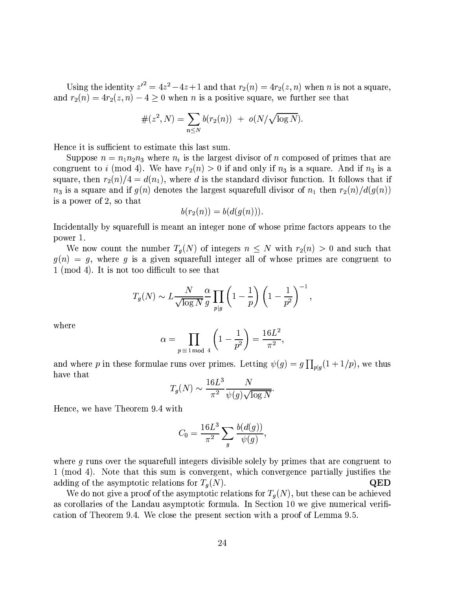Using the identity  $z'^2 = 4z^2 - 4z + 1$  and that  $r_2(n) = 4r_2(z, n)$  when *n* is not a square, and  $r_2(n) = 4r_2(z, n) - 4 \ge 0$  when *n* is a positive square, we further see that

$$
\#(z^2, N) = \sum_{n \leq N} b(r_2(n)) + o(N/\sqrt{\log N}).
$$

Hence it is sufficient to estimate this last sum.

Suppose  $n = n_1 n_2 n_3$  where  $n_i$  is the largest divisor of n composed of primes that are congruent to i (mod 4). We have  $r_2(n) > 0$  if and only if  $n_3$  is a square. And if  $n_3$  is a square, then  $r_2(n)/4 = d(n_1)$ , where d is the standard divisor function. It follows that if  $n_3$  is a square and if  $g(n)$  denotes the largest squarefull divisor of  $n_1$  then  $r_2(n)/d(g(n))$ is a power of 2, so that

$$
b(r_2(n)) = b(d(g(n))).
$$

Incidentally by squarefull is meant an integer none of whose prime factors appears to the power 1.

We now count the number  $T_q(N)$  of integers  $n \leq N$  with  $r_2(n) > 0$  and such that  $g(n) = g$ , where g is a given squarefull integer all of whose primes are congruent to 1 (mod 4). It is not too difficult to see that

$$
T_g(N) \sim L \frac{N}{\sqrt{\log N}} \frac{\alpha}{g} \prod_{p|g} \left(1 - \frac{1}{p}\right) \left(1 - \frac{1}{p^2}\right)^{-1},
$$

where

$$
\alpha = \prod_{p \equiv 1 \bmod{4}} \left( 1 - \frac{1}{p^2} \right) = \frac{16L^2}{\pi^2},
$$

and where p in these formulae runs over primes. Letting  $\psi(g) = g \prod_{p|g} (1 + 1/p)$ , we thus have that

$$
T_g(N) \sim \frac{16L^3}{\pi^2} \frac{N}{\psi(g)\sqrt{\log N}}
$$

Hence, we have Theorem 9.4 with

$$
C_0 = \frac{16L^3}{\pi^2} \sum_g \frac{b(d(g))}{\psi(g)},
$$

where g runs over the squarefull integers divisible solely by primes that are congruent to 1 (mod 4). Note that this sum is convergent, which convergence partially justifies the adding of the asymptotic relations for  $T_q(N)$ . QED

We do not give a proof of the asymptotic relations for  $T_q(N)$ , but these can be achieved as corollaries of the Landau asymptotic formula. In Section 10 we give numerical verification of Theorem 9.4. We close the present section with a proof of Lemma 9.5.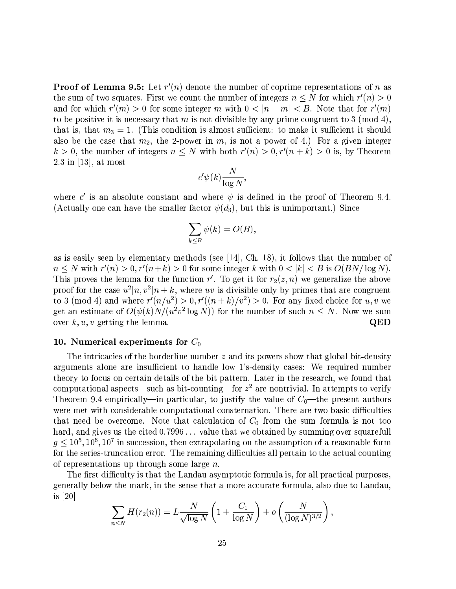**Proof of Lemma 9.5:** Let  $r'(n)$  denote the number of coprime representations of n as the sum of two squares. First we count the number of integers  $n \leq N$  for which  $r'(n) > 0$ and for which  $r'(m) > 0$  for some integer m with  $0 < |n-m| < B$ . Note that for  $r'(m)$ to be positive it is necessary that m is not divisible by any prime congruent to 3 (mod 4), that is, that  $m_3 = 1$ . (This condition is almost sufficient: to make it sufficient it should also be the case that  $m_2$ , the 2-power in  $m$ , is not a power of 4.) For a given integer  $k > 0$ , the number of integers  $n \leq N$  with both  $r'(n) > 0, r'(n+k) > 0$  is, by Theorem  $2.3$  in [13], at most

$$
c'\psi(k)\frac{N}{\log N},
$$

where c' is an absolute constant and where  $\psi$  is defined in the proof of Theorem 9.4. (Actually one can have the smaller factor  $\psi(d_3)$ , but this is unimportant.) Since

$$
\sum_{k \leq B} \psi(k) = O(B),
$$

as is easily seen by elementary methods (see [14], Ch. 18), it follows that the number of  $n \leq N$  with  $r'(n) > 0$ ,  $r'(n+k) > 0$  for some integer k with  $0 < |k| < B$  is  $O(BN/\log N)$ . This proves the lemma for the function r'. To get it for  $r_2(z, n)$  we generalize the above proof for the case  $u^2|n, v^2|n+k$ , where uv is divisible only by primes that are congruent to 3 (mod 4) and where  $r'(n/u^2) > 0, r'((n+k)/v^2) > 0$ . For any fixed choice for u, v we get an estimate of  $O(\psi(k)N/(u^2v^2\log N))$  for the number of such  $n \leq N$ . Now we sum over  $k, u, v$  getting the lemma.  $\overline{\text{QED}}$ 

#### 10. Numerical experiments for  $C_0$

The intricacies of the borderline number  $z$  and its powers show that global bit-density arguments alone are insufficient to handle low 1's-density cases: We required number theory to focus on certain details of the bit pattern. Later in the research, we found that computational aspects—such as bit-counting—for  $z^2$  are nontrivial. In attempts to verify Theorem 9.4 empirically—in particular, to justify the value of  $C_0$ —the present authors were met with considerable computational consternation. There are two basic difficulties that need be overcome. Note that calculation of  $C_0$  from the sum formula is not too hard, and gives us the cited 0.7996... value that we obtained by summing over squarefull  $q \leq 10^5, 10^6, 10^7$  in succession, then extrapolating on the assumption of a reasonable form for the series-truncation error. The remaining difficulties all pertain to the actual counting of representations up through some large  $n$ .

The first difficulty is that the Landau asymptotic formula is, for all practical purposes, generally below the mark, in the sense that a more accurate formula, also due to Landau, is  $|20|$ 

$$
\sum_{n\leq N} H(r_2(n)) = L \frac{N}{\sqrt{\log N}} \left( 1 + \frac{C_1}{\log N} \right) + o\left(\frac{N}{(\log N)^{3/2}}\right),
$$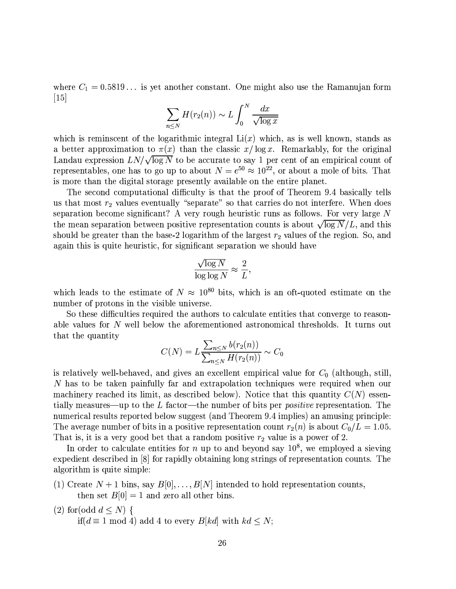where  $C_1 = 0.5819...$  is yet another constant. One might also use the Ramanujan form  $\vert 15 \vert$ 

$$
\sum_{n\leq N} H(r_2(n)) \sim L \int_0^N \frac{dx}{\sqrt{\log x}}
$$

which is reminscent of the logarithmic integral  $Li(x)$  which, as is well known, stands as a better approximation to  $\pi(x)$  than the classic  $x/\log x$ . Remarkably, for the original Landau expression  $LN/\sqrt{\log N}$  to be accurate to say 1 per cent of an empirical count of representables, one has to go up to about  $N = e^{50} \approx 10^{22}$ , or about a mole of bits. That is more than the digital storage presently available on the entire planet.

The second computational difficulty is that the proof of Theorem 9.4 basically tells us that most  $r_2$  values eventually "separate" so that carries do not interfere. When does separation become significant? A very rough heuristic runs as follows. For very large  $N$ the mean separation between positive representation counts is about  $\sqrt{\log N}/L$ , and this should be greater than the base-2 logarithm of the largest  $r_2$  values of the region. So, and again this is quite heuristic, for significant separation we should have

$$
\frac{\sqrt{\log N}}{\log \log N} \approx \frac{2}{L},
$$

which leads to the estimate of  $N \approx 10^{80}$  bits, which is an oft-quoted estimate on the number of protons in the visible universe.

So these difficulties required the authors to calculate entities that converge to reasonable values for N well below the aforementioned astronomical thresholds. It turns out that the quantity

$$
C(N) = L \frac{\sum_{n \le N} b(r_2(n))}{\sum_{n \le N} H(r_2(n))} \sim C_0
$$

is relatively well-behaved, and gives an excellent empirical value for  $C_0$  (although, still,  $N$  has to be taken painfully far and extrapolation techniques were required when our machinery reached its limit, as described below). Notice that this quantity  $C(N)$  essentially measures—up to the L factor—the number of bits per *positive* representation. The numerical results reported below suggest (and Theorem 9.4 implies) an amusing principle: The average number of bits in a positive representation count  $r_2(n)$  is about  $C_0/L = 1.05$ . That is, it is a very good bet that a random positive  $r_2$  value is a power of 2.

In order to calculate entities for n up to and beyond say  $10^8$ , we employed a sieving expedient described in [8] for rapidly obtaining long strings of representation counts. The algorithm is quite simple:

- (1) Create  $N+1$  bins, say  $B[0], \ldots, B[N]$  intended to hold representation counts, then set  $B[0] = 1$  and zero all other bins.
- (2) for (odd  $d \leq N$ ) { if( $d \equiv 1 \mod 4$ ) add 4 to every  $B[kd]$  with  $kd \leq N$ ;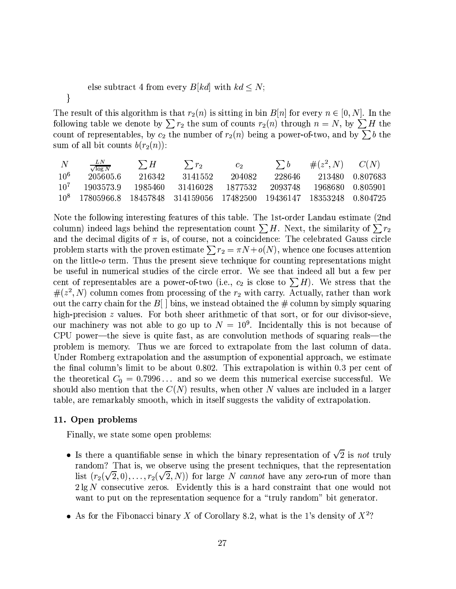## else subtract 4 from every  $B[kd]$  with  $kd \leq N$ ;

}

The result of this algorithm is that  $r_2(n)$  is sitting in bin  $B[n]$  for every  $n \in [0, N]$ . In the following table we denote by  $\sum r_2$  the sum of counts  $r_2(n)$  through  $n = N$ , by  $\sum H$  the count of representables, by  $c_2$  the number of  $r_2(n)$  being a power-of-two, and by  $\sum b$  the sum of all bit counts  $b(r_2(n))$ :

| $\mathcal{N}$   | $\frac{LN}{\sqrt{\log N}}$                                                        | $\sum H$ | $\sum r_2$ | $c_{2}$   | $\sum b$ | $\#(z^2, N)$ $C(N)$ |                     |
|-----------------|-----------------------------------------------------------------------------------|----------|------------|-----------|----------|---------------------|---------------------|
| 10 <sup>6</sup> | 205605.6                                                                          | 216342   | 3141552    | 204082    | 228646   |                     | 213480 0.807683     |
| 10 <sup>7</sup> | 1903573.9                                                                         | 1985460- | - 31416028 | - 1877532 | 2093748  |                     | -1968680 - 0.805901 |
|                 | 10 <sup>8</sup> 17805966.8 18457848 314159056 17482500 19436147 18353248 0.804725 |          |            |           |          |                     |                     |

Note the following interesting features of this table. The 1st-order Landau estimate (2nd column) indeed lags behind the representation count  $\sum H$ . Next, the similarity of  $\sum r_2$ and the decimal digits of  $\pi$  is, of course, not a coincidence: The celebrated Gauss circle problem starts with the proven estimate  $\sum r_2 = \pi N + o(N)$ , whence one focuses attention on the little- $o$  term. Thus the present sieve technique for counting representations might be useful in numerical studies of the circle error. We see that indeed all but a few per cent of representables are a power-of-two (i.e.,  $c_2$  is close to  $\sum H$ ). We stress that the  $\#(z^2, N)$  column comes from processing of the  $r_2$  with carry. Actually, rather than work out the carry chain for the  $B[\ ]$  bins, we instead obtained the # column by simply squaring high-precision z values. For both sheer arithmetic of that sort, or for our divisor-sieve, our machinery was not able to go up to  $N = 10^9$ . Incidentally this is not because of CPU power—the sieve is quite fast, as are convolution methods of squaring reals—the problem is memory. Thus we are forced to extrapolate from the last column of data. Under Romberg extrapolation and the assumption of exponential approach, we estimate the final column's limit to be about 0.802. This extrapolation is within 0.3 per cent of the theoretical  $C_0 = 0.7996...$  and so we deem this numerical exercise successful. We should also mention that the  $C(N)$  results, when other N values are included in a larger table, are remarkably smooth, which in itself suggests the validity of extrapolation.

## 11. Open problems

Finally, we state some open problems:

- Is there a quantifiable sense in which the binary representation of  $\sqrt{2}$  is not truly random? That is, we observe using the present techniques, that the representation list  $(r_2(\sqrt{2},0),\ldots,r_2(\sqrt{2},N))$  for large N cannot have any zero-run of more than  $2\lg N$  consecutive zeros. Evidently this is a hard constraint that one would not want to put on the representation sequence for a "truly random" bit generator.
- As for the Fibonacci binary X of Corollary 8.2, what is the 1's density of  $X^2$ ?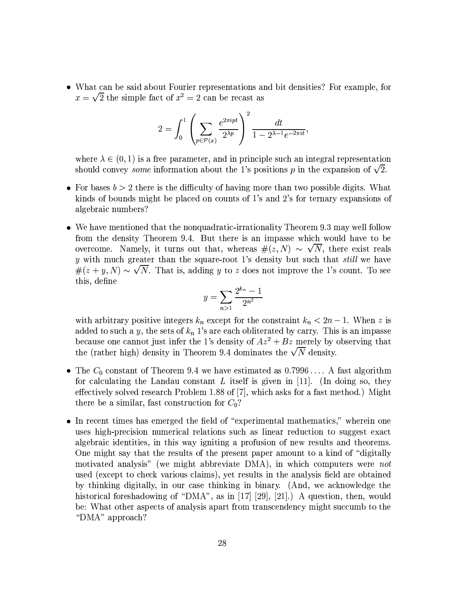• What can be said about Fourier representations and bit densities? For example, for  $x = \sqrt{2}$  the simple fact of  $x^2 = 2$  can be recast as

$$
2 = \int_0^1 \left( \sum_{p \in \mathcal{P}(x)} \frac{e^{2\pi i p t}}{2^{\lambda p}} \right)^2 \frac{dt}{1 - 2^{\lambda - 1} e^{-2\pi i t}},
$$

where  $\lambda \in (0,1)$  is a free parameter, and in principle such an integral representation should convey *some* information about the 1's positions p in the expansion of  $\sqrt{2}$ .

- For bases  $b > 2$  there is the difficulty of having more than two possible digits. What kinds of bounds might be placed on counts of 1's and 2's for ternary expansions of algebraic numbers?
- We have mentioned that the nonquadratic-irrationality Theorem 9.3 may well follow from the density Theorem 9.4. But there is an impasse which would have to be overcome. Namely, it turns out that, whereas  $\#(z, N) \sim \sqrt{N}$ , there exist reals  $y$  with much greater than the square-root 1's density but such that *still* we have  $\#(z+y, N) \sim \sqrt{N}$ . That is, adding y to z does not improve the 1's count. To see this, define

$$
y = \sum_{n>1} \frac{2^{k_n} - 1}{2^{n^2}}
$$

with arbitrary positive integers  $k_n$  except for the constraint  $k_n < 2n - 1$ . When z is added to such a y, the sets of  $k_n$  1's are each obliterated by carry. This is an impasse because one cannot just infer the 1's density of  $Az^2 + Bz$  merely by observing that the (rather high) density in Theorem 9.4 dominates the  $\sqrt{N}$  density.

- The  $C_0$  constant of Theorem 9.4 we have estimated as 0.7996... A fast algorithm for calculating the Landau constant  $L$  itself is given in [11]. (In doing so, they effectively solved research Problem 1.88 of [7], which asks for a fast method.) Might there be a similar, fast construction for  $C_0$ ?
- In recent times has emerged the field of "experimental mathematics," wherein one uses high-precision numerical relations such as linear reduction to suggest exact algebraic identities, in this way igniting a profusion of new results and theorems. One might say that the results of the present paper amount to a kind of "digitally" motivated analysis" (we might abbreviate DMA), in which computers were not used (except to check various claims), yet results in the analysis field are obtained by thinking digitally, in our case thinking in binary. (And, we acknowledge the historical foreshadowing of "DMA", as in [17] [29], [21].) A question, then, would be: What other aspects of analysis apart from transcendency might succumb to the "DMA" approach?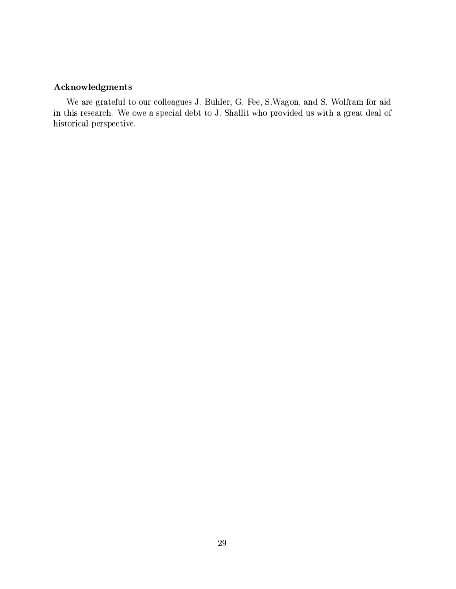# ${\bf Acknowledgments}$

We are grateful to our colleagues J. Buhler, G. Fee, S. Wagon, and S. Wolfram for aid in this research. We owe a special debt to J. Shallit who provided us with a great deal of historical perspective.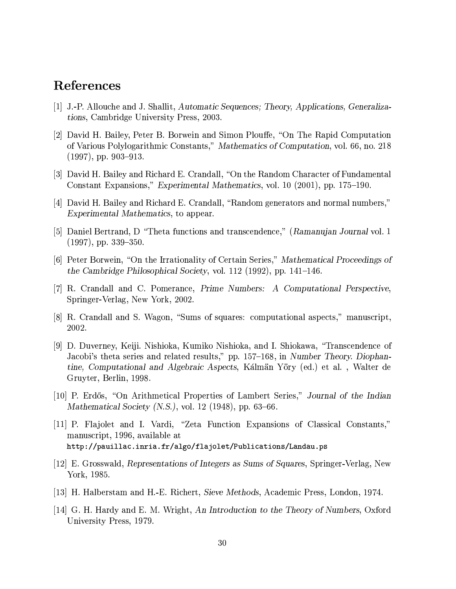# References

- [1] J.-P. Allouche and J. Shallit, Automatic Sequences; Theory, Applications, Generalizations, Cambridge University Press, 2003.
- [2] David H. Bailey, Peter B. Borwein and Simon Plouffe, "On The Rapid Computation" of Various Polylogarithmic Constants," Mathematics of Computation, vol. 66, no. 218  $(1997)$ , pp. 903-913.
- [3] David H. Bailey and Richard E. Crandall, "On the Random Character of Fundamental Constant Expansions," Experimental Mathematics, vol. 10 (2001), pp. 175–190.
- [4] David H. Bailey and Richard E. Crandall, "Random generators and normal numbers," Experimental Mathematics, to appear.
- [5] Daniel Bertrand, D "Theta functions and transcendence," (Ramanujan Journal vol. 1  $(1997)$ , pp. 339-350.
- [6] Peter Borwein, "On the Irrationality of Certain Series," Mathematical Proceedings of the Cambridge Philosophical Society, vol. 112 (1992), pp. 141–146.
- [7] R. Crandall and C. Pomerance, Prime Numbers: A Computational Perspective, Springer-Verlag, New York, 2002.
- [8] R. Crandall and S. Wagon, "Sums of squares: computational aspects," manuscript, 2002.
- [9] D. Duverney, Keiji. Nishioka, Kumiko Nishioka, and I. Shiokawa, "Transcendence of Jacobi's theta series and related results," pp. 157-168, in Number Theory. Diophantine, Computational and Algebraic Aspects, Kálmän Yöry (ed.) et al., Walter de Gruyter, Berlin, 1998.
- [10] P. Erdős, "On Arithmetical Properties of Lambert Series," Journal of the Indian Mathematical Society (N.S.), vol. 12 (1948), pp. 63–66.
- [11] P. Flajolet and I. Vardi, "Zeta Function Expansions of Classical Constants," manuscript, 1996, available at http://pauillac.inria.fr/algo/flajolet/Publications/Landau.ps
- [12] E. Grosswald, Representations of Integers as Sums of Squares, Springer-Verlag, New York, 1985.
- [13] H. Halberstam and H.-E. Richert, Sieve Methods, Academic Press, London, 1974.
- [14] G. H. Hardy and E. M. Wright, An Introduction to the Theory of Numbers, Oxford University Press, 1979.